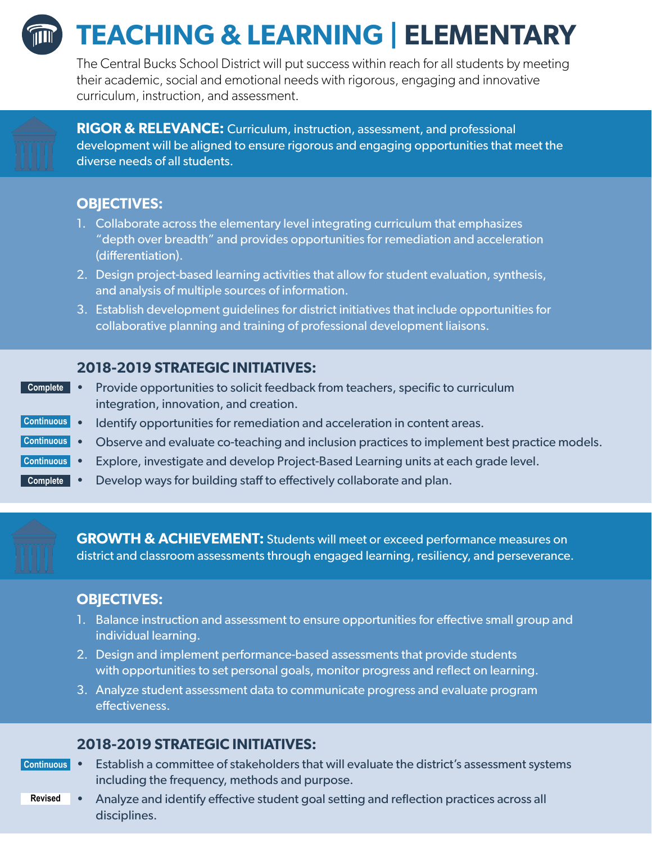

# **TEACHING & LEARNING | ELEMENTARY**

The Central Bucks School District will put success within reach for all students by meeting their academic, social and emotional needs with rigorous, engaging and innovative curriculum, instruction, and assessment.



**RIGOR & RELEVANCE:** Curriculum, instruction, assessment, and professional development will be aligned to ensure rigorous and engaging opportunities that meet the diverse needs of all students.

# **OBJECTIVES:**

- 1. Collaborate across the elementary level integrating curriculum that emphasizes "depth over breadth" and provides opportunities for remediation and acceleration (differentiation).
- 2. Design project-based learning activities that allow for student evaluation, synthesis, and analysis of multiple sources of information.
- 3. Establish development guidelines for district initiatives that include opportunities for collaborative planning and training of professional development liaisons.

# **2018-2019 STRATEGIC INITIATIVES:**

- Provide opportunities to solicit feedback from teachers, specific to curriculum integration, innovation, and creation. **Complete**
- Identify opportunities for remediation and acceleration in content areas. **Continuous**
- Observe and evaluate co-teaching and inclusion practices to implement best practice models. **Continuous**
- Explore, investigate and develop Project-Based Learning units at each grade level. **Continuous**
- Develop ways for building staff to effectively collaborate and plan. **Complete**

**GROWTH & ACHIEVEMENT:** Students will meet or exceed performance measures on district and classroom assessments through engaged learning, resiliency, and perseverance.

## **OBJECTIVES:**

- 1. Balance instruction and assessment to ensure opportunities for effective small group and individual learning.
- 2. Design and implement performance-based assessments that provide students with opportunities to set personal goals, monitor progress and reflect on learning.
- 3. Analyze student assessment data to communicate progress and evaluate program effectiveness.

## **2018-2019 STRATEGIC INITIATIVES:**

- Establish a committee of stakeholders that will evaluate the district's assessment systems including the frequency, methods and purpose. **Continuous**
	- Analyze and identify effective student goal setting and reflection practices across all disciplines. **Revised**